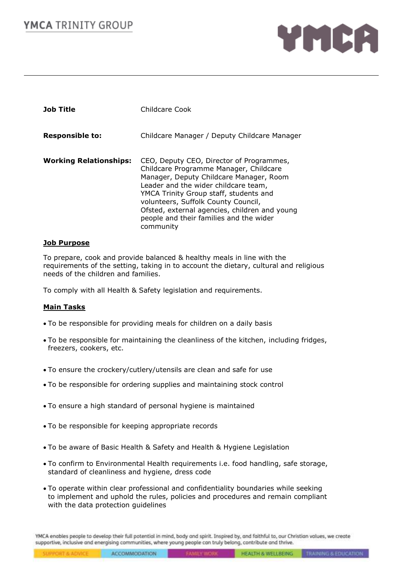# **YMCA** TRINITY GROUP



| <b>Job Title</b>              | Childcare Cook                                                                                                                                                                                                                                                                                                                                                  |
|-------------------------------|-----------------------------------------------------------------------------------------------------------------------------------------------------------------------------------------------------------------------------------------------------------------------------------------------------------------------------------------------------------------|
| <b>Responsible to:</b>        | Childcare Manager / Deputy Childcare Manager                                                                                                                                                                                                                                                                                                                    |
| <b>Working Relationships:</b> | CEO, Deputy CEO, Director of Programmes,<br>Childcare Programme Manager, Childcare<br>Manager, Deputy Childcare Manager, Room<br>Leader and the wider childcare team,<br>YMCA Trinity Group staff, students and<br>volunteers, Suffolk County Council,<br>Ofsted, external agencies, children and young<br>people and their families and the wider<br>community |

#### **Job Purpose**

To prepare, cook and provide balanced & healthy meals in line with the requirements of the setting, taking in to account the dietary, cultural and religious needs of the children and families.

To comply with all Health & Safety legislation and requirements.

#### **Main Tasks**

- To be responsible for providing meals for children on a daily basis
- To be responsible for maintaining the cleanliness of the kitchen, including fridges, freezers, cookers, etc.
- To ensure the crockery/cutlery/utensils are clean and safe for use
- To be responsible for ordering supplies and maintaining stock control
- To ensure a high standard of personal hygiene is maintained
- To be responsible for keeping appropriate records
- To be aware of Basic Health & Safety and Health & Hygiene Legislation
- To confirm to Environmental Health requirements i.e. food handling, safe storage, standard of cleanliness and hygiene, dress code
- To operate within clear professional and confidentiality boundaries while seeking to implement and uphold the rules, policies and procedures and remain compliant with the data protection guidelines

YMCA enables people to develop their full potential in mind, body and spirit. Inspired by, and faithful to, our Christian volues, we create supportive, inclusive and energising communities, where young people can truly belong, contribute and thrive.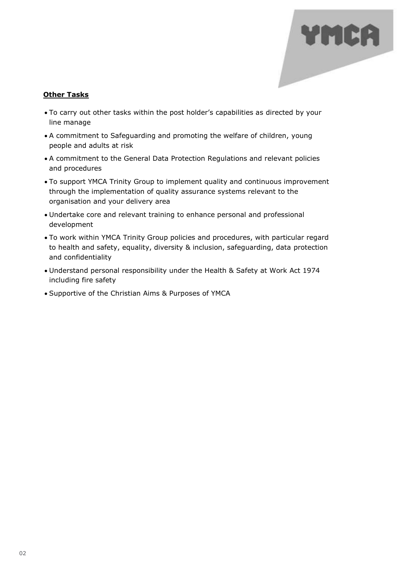## **Other Tasks**

• To carry out other tasks within the post holder's capabilities as directed by your line manage

- A commitment to Safeguarding and promoting the welfare of children, young people and adults at risk
- A commitment to the General Data Protection Regulations and relevant policies and procedures
- To support YMCA Trinity Group to implement quality and continuous improvement through the implementation of quality assurance systems relevant to the organisation and your delivery area
- Undertake core and relevant training to enhance personal and professional development
- To work within YMCA Trinity Group policies and procedures, with particular regard to health and safety, equality, diversity & inclusion, safeguarding, data protection and confidentiality
- Understand personal responsibility under the Health & Safety at Work Act 1974 including fire safety
- Supportive of the Christian Aims & Purposes of YMCA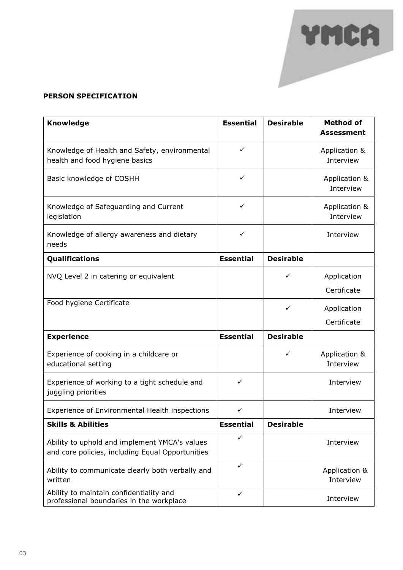### **PERSON SPECIFICATION**

| <b>Knowledge</b>                                                                                  | <b>Essential</b> | <b>Desirable</b> | <b>Method of</b><br><b>Assessment</b> |
|---------------------------------------------------------------------------------------------------|------------------|------------------|---------------------------------------|
| Knowledge of Health and Safety, environmental<br>health and food hygiene basics                   | ✓                |                  | Application &<br>Interview            |
| Basic knowledge of COSHH                                                                          | ✓                |                  | Application &<br>Interview            |
| Knowledge of Safeguarding and Current<br>legislation                                              | ✓                |                  | Application &<br>Interview            |
| Knowledge of allergy awareness and dietary<br>needs                                               | ✓                |                  | Interview                             |
| Qualifications                                                                                    | <b>Essential</b> | <b>Desirable</b> |                                       |
| NVQ Level 2 in catering or equivalent                                                             |                  | ✓                | Application<br>Certificate            |
| Food hygiene Certificate                                                                          |                  | ✓                | Application<br>Certificate            |
| <b>Experience</b>                                                                                 | <b>Essential</b> | <b>Desirable</b> |                                       |
| Experience of cooking in a childcare or<br>educational setting                                    |                  | ✓                | Application &<br>Interview            |
| Experience of working to a tight schedule and<br>juggling priorities                              | ✓                |                  | Interview                             |
| Experience of Environmental Health inspections                                                    | ✓                |                  | Interview                             |
| <b>Skills &amp; Abilities</b>                                                                     | <b>Essential</b> | <b>Desirable</b> |                                       |
| Ability to uphold and implement YMCA's values<br>and core policies, including Equal Opportunities | ✓                |                  | Interview                             |
| Ability to communicate clearly both verbally and<br>written                                       | $\checkmark$     |                  | Application &<br>Interview            |
| Ability to maintain confidentiality and<br>professional boundaries in the workplace               | $\checkmark$     |                  | Interview                             |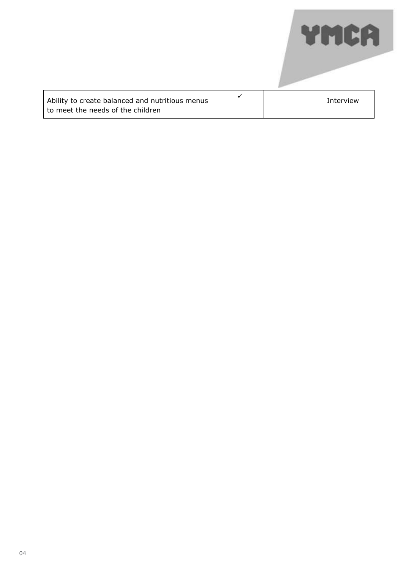| Ability to create balanced and nutritious menus<br>to meet the needs of the children |  | Interview |
|--------------------------------------------------------------------------------------|--|-----------|